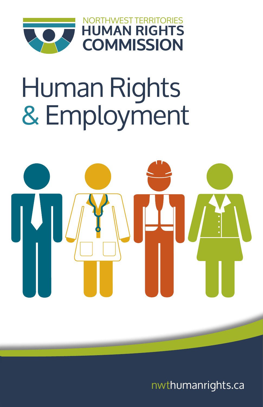

**NRTHWEST TERRITORIES HUMAN RIGHTS COMMISSION**

# Human Rights & Employment



nwthumanrights.ca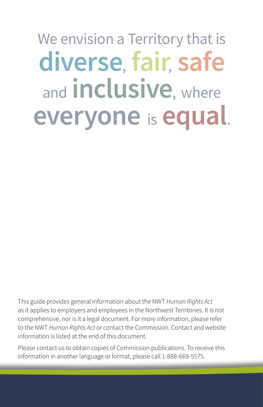## We envision a Territory that is **diverse**, **fair**, **safe**  and **inclusive**, where **everyone** is **equal**.

This guide provides general information about the NWT *Human Rights Act* as it applies to employers and employees in the Northwest Territories. It is not comprehensive, nor is it a legal document. For more information, please refer to the NWT *Human Rights Act* or contact the Commission. Contact and website information is listed at the end of this document.

Please contact us to obtain copies of Commission publications. To receive this information in another language or format, please call 1-888-669-5575.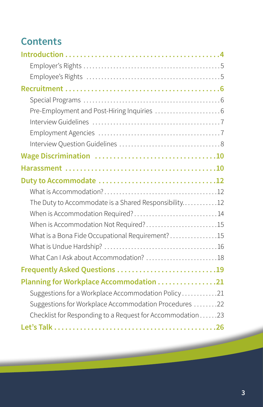## **Contents**

| The Duty to Accommodate is a Shared Responsibility12      |  |
|-----------------------------------------------------------|--|
| When is Accommodation Required?14                         |  |
| When is Accommodation Not Required?15                     |  |
| What is a Bona Fide Occupational Requirement? 15          |  |
|                                                           |  |
|                                                           |  |
| Frequently Asked Questions 19                             |  |
| Planning for Workplace Accommodation 21                   |  |
| Suggestions for a Workplace Accommodation Policy21        |  |
| Suggestions for Workplace Accommodation Procedures 22     |  |
| Checklist for Responding to a Request for Accommodation23 |  |
|                                                           |  |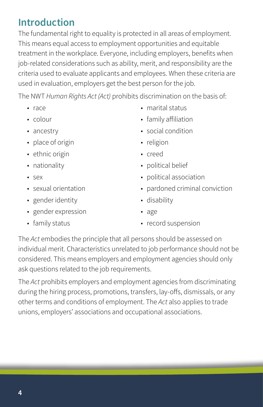## <span id="page-3-0"></span>**Introduction**

The fundamental right to equality is protected in all areas of employment. This means equal access to employment opportunities and equitable treatment in the workplace. Everyone, including employers, benefits when job-related considerations such as ability, merit, and responsibility are the criteria used to evaluate applicants and employees. When these criteria are used in evaluation, employers get the best person for the job.

The NWT *Human Rights Act (Act)* prohibits discrimination on the basis of:

- race
- colour
- ancestry
- place of origin
- ethnic origin
- nationality
- sex
- sexual orientation
- gender identity
- gender expression
- family status
- marital status
- family affiliation
- social condition
- religion
- creed
- political belief
- political association
- pardoned criminal conviction
- disability
- age
- record suspension

The *Act* embodies the principle that all persons should be assessed on individual merit. Characteristics unrelated to job performance should not be considered. This means employers and employment agencies should only ask questions related to the job requirements.

The *Act* prohibits employers and employment agencies from discriminating during the hiring process, promotions, transfers, lay-offs, dismissals, or any other terms and conditions of employment. The *Act* also applies to trade unions, employers' associations and occupational associations.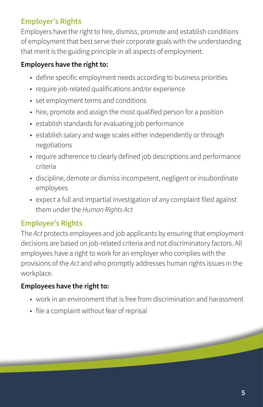#### <span id="page-4-0"></span>**Employer's Rights**

Employers have the right to hire, dismiss, promote and establish conditions of employment that best serve their corporate goals with the understanding that merit is the guiding principle in all aspects of employment.

#### **Employers have the right to:**

- define specific employment needs according to business priorities
- require job-related qualifications and/or experience
- set employment terms and conditions
- hire, promote and assign the most qualified person for a position
- establish standards for evaluating job performance
- establish salary and wage scales either independently or through negotiations
- require adherence to clearly defined job descriptions and performance criteria
- discipline, demote or dismiss incompetent, negligent or insubordinate employees
- expect a full and impartial investigation of any complaint filed against them under the *Human Rights Act*

#### **Employee's Rights**

The *Act* protects employees and job applicants by ensuring that employment decisions are based on job-related criteria and not discriminatory factors. All employees have a right to work for an employer who complies with the provisions of the *Act* and who promptly addresses human rights issues in the workplace.

#### **Employees have the right to:**

- work in an environment that is free from discrimination and harassment
- file a complaint without fear of reprisal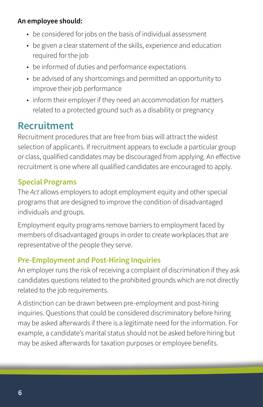#### <span id="page-5-0"></span>**An employee should:**

- be considered for jobs on the basis of individual assessment
- be given a clear statement of the skills, experience and education required for the job
- be informed of duties and performance expectations
- be advised of any shortcomings and permitted an opportunity to improve their job performance
- inform their employer if they need an accommodation for matters related to a protected ground such as a disability or pregnancy

### **Recruitment**

Recruitment procedures that are free from bias will attract the widest selection of applicants. If recruitment appears to exclude a particular group or class, qualified candidates may be discouraged from applying. An effective recruitment is one where all qualified candidates are encouraged to apply.

#### **Special Programs**

The *Act* allows employers to adopt employment equity and other special programs that are designed to improve the condition of disadvantaged individuals and groups.

Employment equity programs remove barriers to employment faced by members of disadvantaged groups in order to create workplaces that are representative of the people they serve.

#### **Pre-Employment and Post-Hiring Inquiries**

An employer runs the risk of receiving a complaint of discrimination if they ask candidates questions related to the prohibited grounds which are not directly related to the job requirements.

A distinction can be drawn between pre-employment and post-hiring inquiries. Questions that could be considered discriminatory before hiring may be asked afterwards if there is a legitimate need for the information. For example, a candidate's marital status should not be asked before hiring but may be asked afterwards for taxation purposes or employee benefits.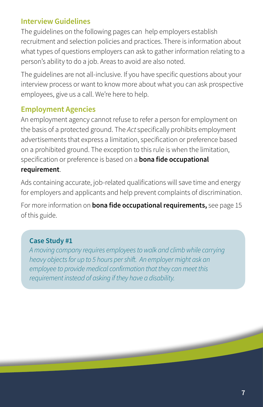#### <span id="page-6-0"></span>**Interview Guidelines**

The guidelines on the following pages can help employers establish recruitment and selection policies and practices. There is information about what types of questions employers can ask to gather information relating to a person's ability to do a job. Areas to avoid are also noted.

The guidelines are not all-inclusive. If you have specific questions about your interview process or want to know more about what you can ask prospective employees, give us a call. We're here to help.

#### **Employment Agencies**

An employment agency cannot refuse to refer a person for employment on the basis of a protected ground. The *Act* specifically prohibits employment advertisements that express a limitation, specification or preference based on a prohibited ground. The exception to this rule is when the limitation, specification or preference is based on a **bona fide occupational requirement**.

Ads containing accurate, job-related qualifications will save time and energy for employers and applicants and help prevent complaints of discrimination.

For more information on **bona fide occupational requirements,** see page 15 of this guide.

#### **Case Study #1**

*A moving company requires employees to walk and climb while carrying heavy objects for up to 5 hours per shift. An employer might ask an employee to provide medical confirmation that they can meet this requirement instead of asking if they have a disability.*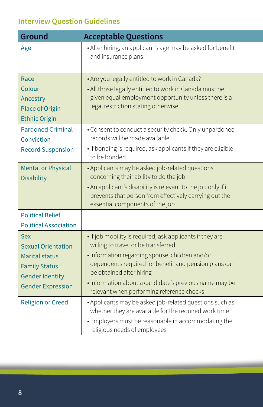## <span id="page-7-0"></span>**Interview Question Guidelines**

| Ground                                                                                                                                         | <b>Acceptable Questions</b>                                                                                                                                                                                                                                                                                                                     |
|------------------------------------------------------------------------------------------------------------------------------------------------|-------------------------------------------------------------------------------------------------------------------------------------------------------------------------------------------------------------------------------------------------------------------------------------------------------------------------------------------------|
| Age                                                                                                                                            | • After hiring, an applicant's age may be asked for benefit<br>and insurance plans                                                                                                                                                                                                                                                              |
| Race<br>Colour<br>Ancestry<br>Place of Origin<br><b>Ethnic Origin</b>                                                                          | • Are you legally entitled to work in Canada?<br>• All those legally entitled to work in Canada must be<br>given equal employment opportunity unless there is a<br>legal restriction stating otherwise                                                                                                                                          |
| <b>Pardoned Criminal</b><br>Conviction<br><b>Record Suspension</b>                                                                             | • Consent to conduct a security check. Only unpardoned<br>records will be made available<br>. If bonding is required, ask applicants if they are eligible<br>to be bonded                                                                                                                                                                       |
| <b>Mental or Physical</b><br><b>Disability</b>                                                                                                 | • Applicants may be asked job-related questions<br>concerning their ability to do the job<br>. An applicant's disability is relevant to the job only if it<br>prevents that person from effectively carrying out the<br>essential components of the job                                                                                         |
| <b>Political Belief</b><br><b>Political Association</b>                                                                                        |                                                                                                                                                                                                                                                                                                                                                 |
| <b>Sex</b><br><b>Sexual Orientation</b><br><b>Marital status</b><br><b>Family Status</b><br><b>Gender Identity</b><br><b>Gender Expression</b> | . If job mobility is required, ask applicants if they are<br>willing to travel or be transferred<br>· Information regarding spouse, children and/or<br>dependents required for benefit and pension plans can<br>be obtained after hiring<br>· Information about a candidate's previous name may be<br>relevant when performing reference checks |
| <b>Religion or Creed</b>                                                                                                                       | • Applicants may be asked job-related questions such as<br>whether they are available for the required work time<br>· Employers must be reasonable in accommodating the<br>religious needs of employees                                                                                                                                         |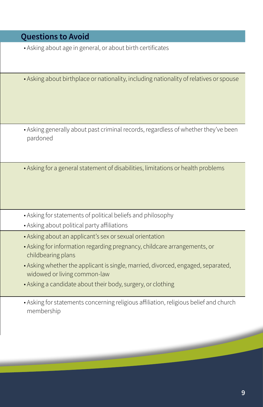#### **Questions to Avoid**

- Asking about age in general, or about birth certificates
- Asking about birthplace or nationality, including nationality of relatives or spouse

- Asking generally about past criminal records, regardless of whether they've been pardoned
- Asking for a general statement of disabilities, limitations or health problems
- Asking for statements of political beliefs and philosophy
- Asking about political party affiliations
- Asking about an applicant's sex or sexual orientation
- Asking for information regarding pregnancy, childcare arrangements, or childbearing plans
- Asking whether the applicant is single, married, divorced, engaged, separated, widowed or living common-law
- Asking a candidate about their body, surgery, or clothing
- Asking for statements concerning religious affiliation, religious belief and church membership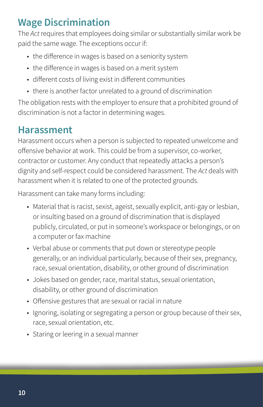## <span id="page-9-0"></span>**Wage Discrimination**

The *Act* requires that employees doing similar or substantially similar work be paid the same wage. The exceptions occur if:

- the difference in wages is based on a seniority system
- the difference in wages is based on a merit system
- different costs of living exist in different communities
- there is another factor unrelated to a ground of discrimination

The obligation rests with the employer to ensure that a prohibited ground of discrimination is not a factor in determining wages.

## **Harassment**

Harassment occurs when a person is subjected to repeated unwelcome and offensive behavior at work. This could be from a supervisor, co-worker, contractor or customer. Any conduct that repeatedly attacks a person's dignity and self-respect could be considered harassment. The *Act* deals with harassment when it is related to one of the protected grounds.

Harassment can take many forms including:

- Material that is racist, sexist, ageist, sexually explicit, anti-gay or lesbian, or insulting based on a ground of discrimination that is displayed publicly, circulated, or put in someone's workspace or belongings, or on a computer or fax machine
- Verbal abuse or comments that put down or stereotype people generally, or an individual particularly, because of their sex, pregnancy, race, sexual orientation, disability, or other ground of discrimination
- Jokes based on gender, race, marital status, sexual orientation, disability, or other ground of discrimination
- Offensive gestures that are sexual or racial in nature
- Ignoring, isolating or segregating a person or group because of their sex, race, sexual orientation, etc.
- Staring or leering in a sexual manner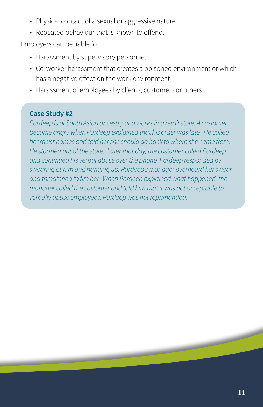- Physical contact of a sexual or aggressive nature
- Repeated behaviour that is known to offend.

Employers can be liable for:

- Harassment by supervisory personnel
- Co-worker harassment that creates a poisoned environment or which has a negative effect on the work environment
- Harassment of employees by clients, customers or others

#### **Case Study #2**

*Pardeep is of South Asian ancestry and works in a retail store. A customer became angry when Pardeep explained that his order was late. He called her racist names and told her she should go back to where she came from. He stormed out of the store. Later that day, the customer called Pardeep and continued his verbal abuse over the phone. Pardeep responded by swearing at him and hanging up. Pardeep's manager overheard her swear and threatened to fire her. When Pardeep explained what happened, the manager called the customer and told him that it was not acceptable to verbally abuse employees. Pardeep was not reprimanded.*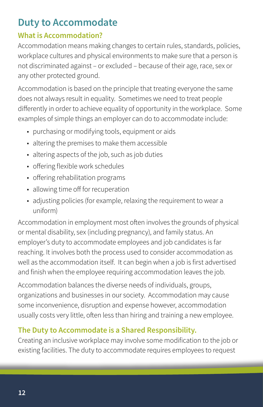## <span id="page-11-0"></span>**Duty to Accommodate**

#### **What is Accommodation?**

Accommodation means making changes to certain rules, standards, policies, workplace cultures and physical environments to make sure that a person is not discriminated against – or excluded – because of their age, race, sex or any other protected ground.

Accommodation is based on the principle that treating everyone the same does not always result in equality. Sometimes we need to treat people differently in order to achieve equality of opportunity in the workplace. Some examples of simple things an employer can do to accommodate include:

- purchasing or modifying tools, equipment or aids
- altering the premises to make them accessible
- altering aspects of the job, such as job duties
- offering flexible work schedules
- offering rehabilitation programs
- allowing time off for recuperation
- adjusting policies (for example, relaxing the requirement to wear a uniform)

Accommodation in employment most often involves the grounds of physical or mental disability, sex (including pregnancy), and family status. An employer's duty to accommodate employees and job candidates is far reaching. It involves both the process used to consider accommodation as well as the accommodation itself. It can begin when a job is first advertised and finish when the employee requiring accommodation leaves the job.

Accommodation balances the diverse needs of individuals, groups, organizations and businesses in our society. Accommodation may cause some inconvenience, disruption and expense however, accommodation usually costs very little, often less than hiring and training a new employee.

#### **The Duty to Accommodate is a Shared Responsibility.**

Creating an inclusive workplace may involve some modification to the job or existing facilities. The duty to accommodate requires employees to request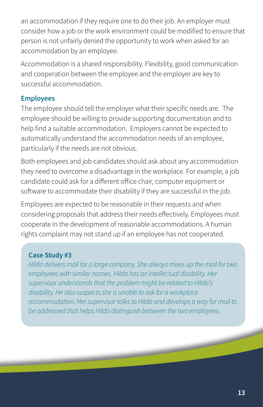an accommodation if they require one to do their job. An employer must consider how a job or the work environment could be modified to ensure that person is not unfairly denied the opportunity to work when asked for an accommodation by an employee.

Accommodation is a shared responsibility. Flexibility, good communication and cooperation between the employee and the employer are key to successful accommodation.

#### **Employees**

The employee should tell the employer what their specific needs are. The employee should be willing to provide supporting documentation and to help find a suitable accommodation. Employers cannot be expected to automatically understand the accommodation needs of an employee, particularly if the needs are not obvious.

Both employees and job candidates should ask about any accommodation they need to overcome a disadvantage in the workplace. For example, a job candidate could ask for a different office chair, computer equipment or software to accommodate their disability if they are successful in the job.

Employees are expected to be reasonable in their requests and when considering proposals that address their needs effectively. Employees must cooperate in the development of reasonable accommodations. A human rights complaint may not stand up if an employee has not cooperated.

#### **Case Study #3**

*Hilda delivers mail for a large company. She always mixes up the mail for two employees with similar names. Hilda has an intellectual disability. Her supervisor understands that the problem might be related to Hilda's disability. He also suspects she is unable to ask for a workplace accommodation. Her supervisor talks to Hilda and develops a way for mail to be addressed that helps Hilda distinguish between the two employees.*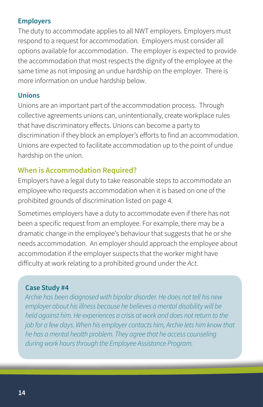#### <span id="page-13-0"></span>**Employers**

The duty to accommodate applies to all NWT employers. Employers must respond to a request for accommodation. Employers must consider all options available for accommodation. The employer is expected to provide the accommodation that most respects the dignity of the employee at the same time as not imposing an undue hardship on the employer. There is more information on undue hardship below.

#### **Unions**

Unions are an important part of the accommodation process. Through collective agreements unions can, unintentionally, create workplace rules that have discriminatory effects. Unions can become a party to discrimination if they block an employer's efforts to find an accommodation. Unions are expected to facilitate accommodation up to the point of undue hardship on the union.

#### **When is Accommodation Required?**

Employers have a legal duty to take reasonable steps to accommodate an employee who requests accommodation when it is based on one of the prohibited grounds of discrimination listed on page 4.

Sometimes employers have a duty to accommodate even if there has not been a specific request from an employee. For example, there may be a dramatic change in the employee's behaviour that suggests that he or she needs accommodation. An employer should approach the employee about accommodation if the employer suspects that the worker might have difficulty at work relating to a prohibited ground under the *Act*.

#### **Case Study #4**

*Archie has been diagnosed with bipolar disorder. He does not tell his new employer about his illness because he believes a mental disability will be held against him. He experiences a crisis at work and does not return to the job for a few days. When his employer contacts him, Archie lets him know that he has a mental health problem. They agree that he access counseling during work hours through the Employee Assistance Program.*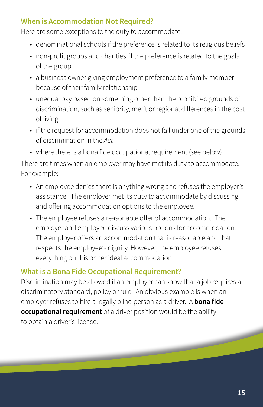#### <span id="page-14-0"></span>**When is Accommodation Not Required?**

Here are some exceptions to the duty to accommodate:

- denominational schools if the preference is related to its religious beliefs
- non-profit groups and charities, if the preference is related to the goals of the group
- a business owner giving employment preference to a family member because of their family relationship
- unequal pay based on something other than the prohibited grounds of discrimination, such as seniority, merit or regional differences in the cost of living
- if the request for accommodation does not fall under one of the grounds of discrimination in the *Act*
- where there is a bona fide occupational requirement (see below)

There are times when an employer may have met its duty to accommodate. For example:

- An employee denies there is anything wrong and refuses the employer's assistance. The employer met its duty to accommodate by discussing and offering accommodation options to the employee.
- The employee refuses a reasonable offer of accommodation. The employer and employee discuss various options for accommodation. The employer offers an accommodation that is reasonable and that respects the employee's dignity. However, the employee refuses everything but his or her ideal accommodation.

#### **What is a Bona Fide Occupational Requirement?**

Discrimination may be allowed if an employer can show that a job requires a discriminatory standard, policy or rule. An obvious example is when an employer refuses to hire a legally blind person as a driver. A **bona fide occupational requirement** of a driver position would be the ability to obtain a driver's license.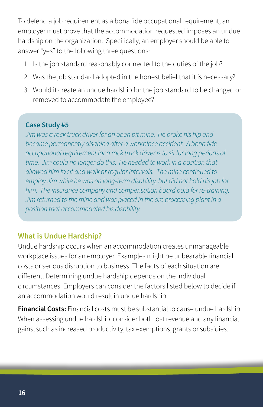<span id="page-15-0"></span>To defend a job requirement as a bona fide occupational requirement, an employer must prove that the accommodation requested imposes an undue hardship on the organization. Specifically, an employer should be able to answer "yes" to the following three questions:

- 1. Is the job standard reasonably connected to the duties of the job?
- 2. Was the job standard adopted in the honest belief that it is necessary?
- 3. Would it create an undue hardship for the job standard to be changed or removed to accommodate the employee?

#### **Case Study #5**

*Jim was a rock truck driver for an open pit mine. He broke his hip and became permanently disabled after a workplace accident. A bona fide occupational requirement for a rock truck driver is to sit for long periods of time. Jim could no longer do this. He needed to work in a position that allowed him to sit and walk at regular intervals. The mine continued to employ Jim while he was on long-term disability, but did not hold his job for him. The insurance company and compensation board paid for re-training. Jim returned to the mine and was placed in the ore processing plant in a position that accommodated his disability.*

#### **What is Undue Hardship?**

Undue hardship occurs when an accommodation creates unmanageable workplace issues for an employer. Examples might be unbearable financial costs or serious disruption to business. The facts of each situation are different. Determining undue hardship depends on the individual circumstances. Employers can consider the factors listed below to decide if an accommodation would result in undue hardship.

**Financial Costs:** Financial costs must be substantial to cause undue hardship. When assessing undue hardship, consider both lost revenue and any financial gains, such as increased productivity, tax exemptions, grants or subsidies.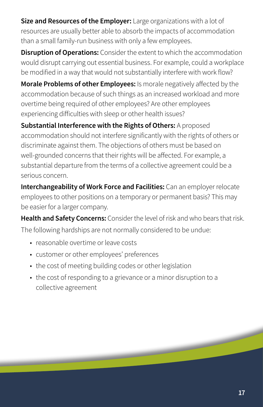**Size and Resources of the Employer:** Large organizations with a lot of resources are usually better able to absorb the impacts of accommodation than a small family-run business with only a few employees.

**Disruption of Operations:** Consider the extent to which the accommodation would disrupt carrying out essential business. For example, could a workplace be modified in a way that would not substantially interfere with work flow?

**Morale Problems of other Employees:** Is morale negatively affected by the accommodation because of such things as an increased workload and more overtime being required of other employees? Are other employees experiencing difficulties with sleep or other health issues?

**Substantial Interference with the Rights of Others:** A proposed accommodation should not interfere significantly with the rights of others or discriminate against them. The objections of others must be based on well-grounded concerns that their rights will be affected. For example, a substantial departure from the terms of a collective agreement could be a serious concern.

**Interchangeability of Work Force and Facilities:** Can an employer relocate employees to other positions on a temporary or permanent basis? This may be easier for a larger company.

**Health and Safety Concerns:** Consider the level of risk and who bears that risk. The following hardships are not normally considered to be undue:

- reasonable overtime or leave costs
- customer or other employees' preferences
- the cost of meeting building codes or other legislation
- the cost of responding to a grievance or a minor disruption to a collective agreement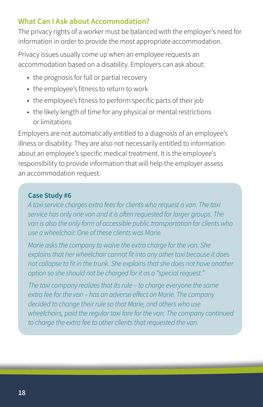#### <span id="page-17-0"></span>**What Can I Ask about Accommodation?**

The privacy rights of a worker must be balanced with the employer's need for information in order to provide the most appropriate accommodation.

Privacy issues usually come up when an employee requests an accommodation based on a disability. Employers can ask about:

- the prognosis for full or partial recovery
- the employee's fitness to return to work
- the employee's fitness to perform specific parts of their job
- the likely length of time for any physical or mental restrictions or limitations

Employers are not automatically entitled to a diagnosis of an employee's illness or disability. They are also not necessarily entitled to information about an employee's specific medical treatment. It is the employee's responsibility to provide information that will help the employer assess an accommodation request.

#### **Case Study #6**

*A taxi service charges extra fees for clients who request a van. The taxi service has only one van and it is often requested for larger groups. The van is also the only form of accessible public transportation for clients who use a wheelchair. One of these clients was Marie.*

*Marie asks the company to waive the extra charge for the van. She explains that her wheelchair cannot fit into any other taxi because it does not collapse to fit in the trunk. She explains that she does not have another option so she should not be charged for it as a "special request."*

*The taxi company realizes that its rule – to charge everyone the same extra fee for the van – has an adverse effect on Marie. The company decided to change their rule so that Marie, and others who use wheelchairs, paid the regular taxi fare for the van. The company continued to charge the extra fee to other clients that requested the van.*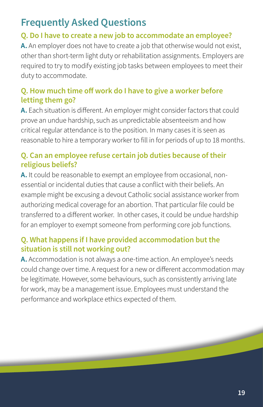## <span id="page-18-0"></span>**Frequently Asked Questions**

#### **Q. Do I have to create a new job to accommodate an employee?**

**A.** An employer does not have to create a job that otherwise would not exist, other than short-term light duty or rehabilitation assignments. Employers are required to try to modify existing job tasks between employees to meet their duty to accommodate.

#### **Q. How much time off work do I have to give a worker before letting them go?**

**A.** Each situation is different. An employer might consider factors that could prove an undue hardship, such as unpredictable absenteeism and how critical regular attendance is to the position. In many cases it is seen as reasonable to hire a temporary worker to fill in for periods of up to 18 months.

#### **Q. Can an employee refuse certain job duties because of their religious beliefs?**

**A.** It could be reasonable to exempt an employee from occasional, nonessential or incidental duties that cause a conflict with their beliefs. An example might be excusing a devout Catholic social assistance worker from authorizing medical coverage for an abortion. That particular file could be transferred to a different worker. In other cases, it could be undue hardship for an employer to exempt someone from performing core job functions.

#### **Q. What happens if I have provided accommodation but the situation is still not working out?**

**A.** Accommodation is not always a one-time action. An employee's needs could change over time. A request for a new or different accommodation may be legitimate. However, some behaviours, such as consistently arriving late for work, may be a management issue. Employees must understand the performance and workplace ethics expected of them.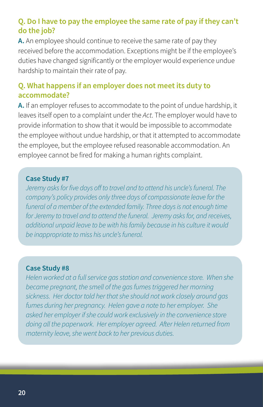#### **Q. Do I have to pay the employee the same rate of pay if they can't do the job?**

**A.** An employee should continue to receive the same rate of pay they received before the accommodation. Exceptions might be if the employee's duties have changed significantly or the employer would experience undue hardship to maintain their rate of pay.

#### **Q. What happens if an employer does not meet its duty to accommodate?**

**A.** If an employer refuses to accommodate to the point of undue hardship, it leaves itself open to a complaint under the *Act*. The employer would have to provide information to show that it would be impossible to accommodate the employee without undue hardship, or that it attempted to accommodate the employee, but the employee refused reasonable accommodation. An employee cannot be fired for making a human rights complaint.

#### **Case Study #7**

*Jeremy asks for five days off to travel and to attend his uncle's funeral. The company's policy provides only three days of compassionate leave for the funeral of a member of the extended family. Three days is not enough time for Jeremy to travel and to attend the funeral. Jeremy asks for, and receives, additional unpaid leave to be with his family because in his culture it would be inappropriate to miss his uncle's funeral.* 

#### **Case Study #8**

*Helen worked at a full service gas station and convenience store. When she became pregnant, the smell of the gas fumes triggered her morning sickness. Her doctor told her that she should not work closely around gas fumes during her pregnancy. Helen gave a note to her employer. She asked her employer if she could work exclusively in the convenience store doing all the paperwork. Her employer agreed. After Helen returned from maternity leave, she went back to her previous duties.*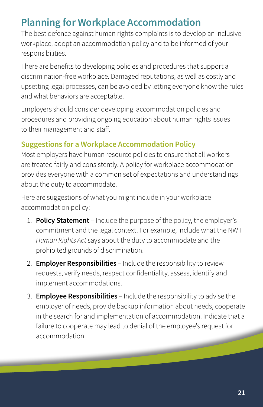## <span id="page-20-0"></span>**Planning for Workplace Accommodation**

The best defence against human rights complaints is to develop an inclusive workplace, adopt an accommodation policy and to be informed of your responsibilities.

There are benefits to developing policies and procedures that support a discrimination-free workplace. Damaged reputations, as well as costly and upsetting legal processes, can be avoided by letting everyone know the rules and what behaviors are acceptable.

Employers should consider developing accommodation policies and procedures and providing ongoing education about human rights issues to their management and staff.

#### **Suggestions for a Workplace Accommodation Policy**

Most employers have human resource policies to ensure that all workers are treated fairly and consistently. A policy for workplace accommodation provides everyone with a common set of expectations and understandings about the duty to accommodate.

Here are suggestions of what you might include in your workplace accommodation policy:

- 1. **Policy Statement**  Include the purpose of the policy, the employer's commitment and the legal context. For example, include what the NWT *Human Rights Act* says about the duty to accommodate and the prohibited grounds of discrimination.
- 2. **Employer Responsibilities** Include the responsibility to review requests, verify needs, respect confidentiality, assess, identify and implement accommodations.
- 3. **Employee Responsibilities** Include the responsibility to advise the employer of needs, provide backup information about needs, cooperate in the search for and implementation of accommodation. Indicate that a failure to cooperate may lead to denial of the employee's request for accommodation.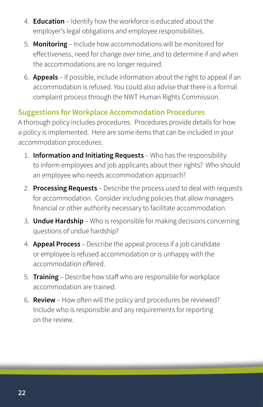- <span id="page-21-0"></span>4. **Education** – Identify how the workforce is educated about the employer's legal obligations and employee responsibilities.
- 5. **Monitoring** Include how accommodations will be monitored for effectiveness, need for change over time, and to determine if and when the accommodations are no longer required.
- 6. **Appeals** If possible, include information about the right to appeal if an accommodation is refused. You could also advise that there is a formal complaint process through the NWT Human Rights Commission.

#### **Suggestions for Workplace Accommodation Procedures**

A thorough policy includes procedures. Procedures provide details for how a policy is implemented. Here are some items that can be included in your accommodation procedures:

- 1. **Information and Initiating Requests**  Who has the responsibility to inform employees and job applicants about their rights? Who should an employee who needs accommodation approach?
- 2. **Processing Requests** Describe the process used to deal with requests for accommodation. Consider including policies that allow managers financial or other authority necessary to facilitate accommodation.
- 3. **Undue Hardship**  Who is responsible for making decisions concerning questions of undue hardship?
- 4. **Appeal Process** Describe the appeal process if a job candidate or employee is refused accommodation or is unhappy with the accommodation offered.
- 5. **Training** Describe how staff who are responsible for workplace accommodation are trained.
- 6. **Review** How often will the policy and procedures be reviewed? Include who is responsible and any requirements for reporting on the review.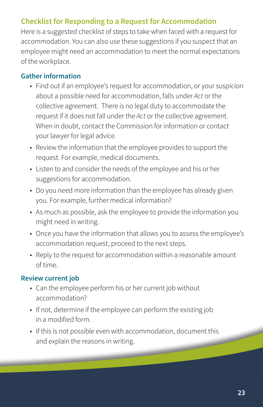#### <span id="page-22-0"></span>**Checklist for Responding to a Request for Accommodation**

Here is a suggested checklist of steps to take when faced with a request for accommodation. You can also use these suggestions if you suspect that an employee might need an accommodation to meet the normal expectations of the workplace.

#### **Gather information**

- Find out if an employee's request for accommodation, or your suspicion about a possible need for accommodation, falls under *Act* or the collective agreement. There is no legal duty to accommodate the request if it does not fall under the *Act* or the collective agreement. When in doubt, contact the Commission for information or contact your lawyer for legal advice.
- Review the information that the employee provides to support the request. For example, medical documents.
- Listen to and consider the needs of the employee and his or her suggestions for accommodation.
- Do you need more information than the employee has already given you. For example, further medical information?
- As much as possible, ask the employee to provide the information you might need in writing.
- Once you have the information that allows you to assess the employee's accommodation request, proceed to the next steps.
- Reply to the request for accommodation within a reasonable amount of time.

#### **Review current job**

- Can the employee perform his or her current job without accommodation?
- If not, determine if the employee can perform the existing job in a modified form.
- If this is not possible even with accommodation, document this and explain the reasons in writing.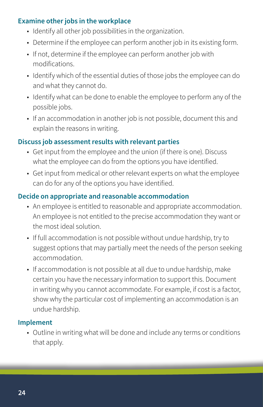#### **Examine other jobs in the workplace**

- Identify all other job possibilities in the organization.
- Determine if the employee can perform another job in its existing form.
- If not, determine if the employee can perform another job with modifications.
- Identify which of the essential duties of those jobs the employee can do and what they cannot do.
- Identify what can be done to enable the employee to perform any of the possible jobs.
- If an accommodation in another job is not possible, document this and explain the reasons in writing.

#### **Discuss job assessment results with relevant parties**

- Get input from the employee and the union (if there is one). Discuss what the employee can do from the options you have identified.
- Get input from medical or other relevant experts on what the employee can do for any of the options you have identified.

#### **Decide on appropriate and reasonable accommodation**

- An employee is entitled to reasonable and appropriate accommodation. An employee is not entitled to the precise accommodation they want or the most ideal solution.
- If full accommodation is not possible without undue hardship, try to suggest options that may partially meet the needs of the person seeking accommodation.
- If accommodation is not possible at all due to undue hardship, make certain you have the necessary information to support this. Document in writing why you cannot accommodate. For example, if cost is a factor, show why the particular cost of implementing an accommodation is an undue hardship.

#### **Implement**

• Outline in writing what will be done and include any terms or conditions that apply.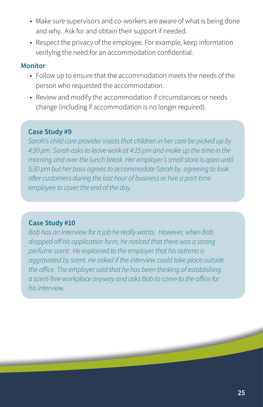- Make sure supervisors and co-workers are aware of what is being done and why. Ask for and obtain their support if needed.
- Respect the privacy of the employee. For example, keep information verifying the need for an accommodation confidential.

#### **Monitor**

- Follow up to ensure that the accommodation meets the needs of the person who requested the accommodation.
- Review and modify the accommodation if circumstances or needs change (including if accommodation is no longer required).

#### **Case Study #9**

*Sarah's child care provider insists that children in her care be picked up by 4:30 pm. Sarah asks to leave work at 4:15 pm and make up the time in the morning and over the lunch break. Her employer's small store is open until 5:30 pm but her boss agrees to accommodate Sarah by agreeing to look after customers during the last hour of business or hire a part-time employee to cover the end of the day.*

#### **Case Study #10**

*Bob has an interview for a job he really wants. However, when Bob dropped off his application form, he noticed that there was a strong perfume scent. He explained to the employer that his asthma is aggravated by scent. He asked if the interview could take place outside the office. The employer said that he has been thinking of establishing a scent-free workplace anyway and asks Bob to come to the office for his interview.*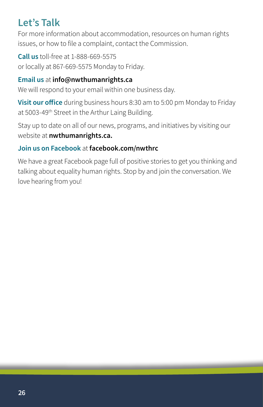## <span id="page-25-0"></span>**Let's Talk**

For more information about accommodation, resources on human rights issues, or how to file a complaint, contact the Commission.

**Call us** toll-free at 1-888-669-5575 or locally at 867-669-5575 Monday to Friday.

#### **Email us** at **[info@nwthumanrights.ca](mailto:info%40nwthumanrights.ca?subject=)**

We will respond to your email within one business day.

**Visit our office** during business hours 8:30 am to 5:00 pm Monday to Friday at 5003-49<sup>th</sup> Street in the Arthur Laing Building.

Stay up to date on all of our news, programs, and initiatives by visiting our website at **[nwthumanrights.ca](http://nwthumanrights.ca).**

#### **Join us on Facebook** at **[facebook.com/nwthrc](http://facebook.com/nwthrc)**

We have a great Facebook page full of positive stories to get you thinking and talking about equality human rights. Stop by and join the conversation. We love hearing from you!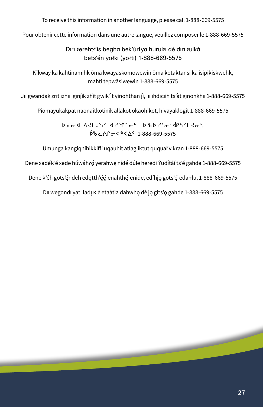To receive this information in another language, please call 1-888-669-5575

Pour obtenir cette information dans une autre langue, veuillez composer le 1-888-669-5575

Diri rerehtł'ís begha bek'úrłya hurulai dé diri rulká bets'én yołki (yołti) 1-888-669-5575

Kīkway ka kahtinamihk ōma kwayaskomowewin ōma kotaktansi ka isipikiskwehk, mahti tepwāsiwewin 1-888-669-5575

Jıı gwandak zrıt ızhıı gınjìk zhìt gwik'ìt yinohthan jì, jıı ıhdıcıih ts'àt gınohkhıı 1-888-669-5575

Piomayukakpat naonaitkotinik allakot okaohikot, hivayaklogit 1-888-669-5575

sfix WJ mA{ y x yq 8i4 sc s y3i4 xe 4y mJi4, >  $556$   $c$   $\Lambda$  $c$   $d$  $s$   $<$   $\Delta$  $c$  1-888-669-5575

Umunga kangiqhihikkiffi uqauhit atlagiiktut ququar̂vikran 1-888-669-5575

Dene xədə́k'é xədə húwáhro yerahwe nídé dúle heredi ?udítáí ts'é gahdə 1-888-669-5575

Dene k'éh gots'éndeh edotth'éé enahthé enide, edíhjo gots'é edahłu, 1-888-669-5575

Dii wegondi yati ładį k'è etaàtìa dahwho dè jo gits'o gahde 1-888-669-5575